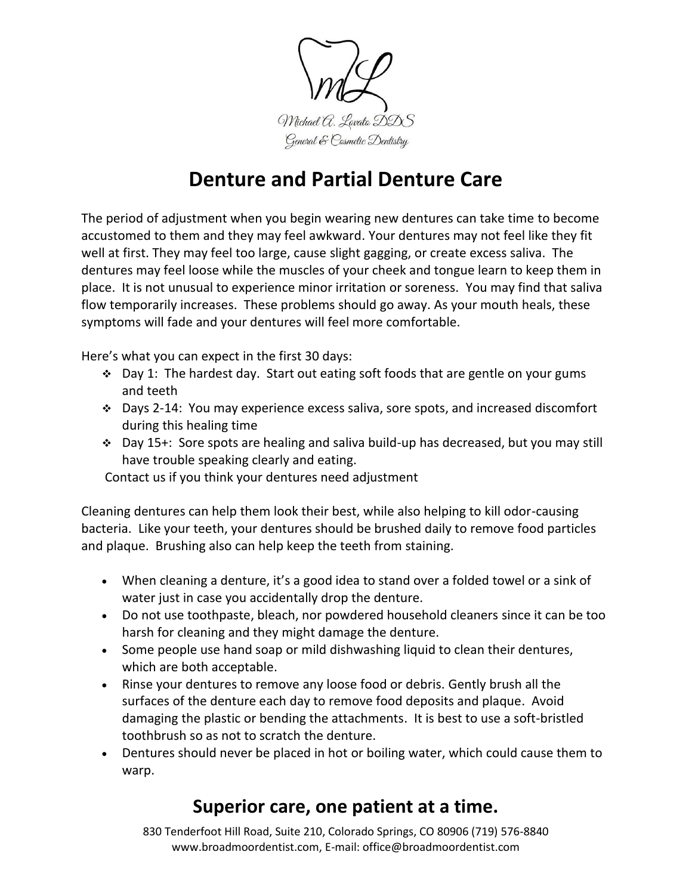

## **Denture and Partial Denture Care**

The period of adjustment when you begin wearing new dentures can take time to become accustomed to them and they may feel awkward. Your dentures may not feel like they fit well at first. They may feel too large, cause slight gagging, or create excess saliva. The dentures may feel loose while the muscles of your cheek and tongue learn to keep them in place. It is not unusual to experience minor irritation or soreness. You may find that saliva flow temporarily increases. These problems should go away. As your mouth heals, these symptoms will fade and your dentures will feel more comfortable.

Here's what you can expect in the first 30 days:

- $\div$  Day 1: The hardest day. Start out eating soft foods that are gentle on your gums and teeth
- $\div$  Days 2-14: You may experience excess saliva, sore spots, and increased discomfort during this healing time
- Day 15+: Sore spots are healing and saliva build-up has decreased, but you may still have trouble speaking clearly and eating.

Contact us if you think your dentures need adjustment

Cleaning dentures can help them look their best, while also helping to kill odor-causing bacteria. Like your teeth, your dentures should be brushed daily to remove food particles and plaque. Brushing also can help keep the teeth from staining.

- When cleaning a denture, it's a good idea to stand over a folded towel or a sink of water just in case you accidentally drop the denture.
- Do not use toothpaste, bleach, nor powdered household cleaners since it can be too harsh for cleaning and they might damage the denture.
- Some people use hand soap or mild dishwashing liquid to clean their dentures, which are both acceptable.
- Rinse your dentures to remove any loose food or debris. Gently brush all the surfaces of the denture each day to remove food deposits and plaque. Avoid damaging the plastic or bending the attachments. It is best to use a soft-bristled toothbrush so as not to scratch the denture.
- Dentures should never be placed in hot or boiling water, which could cause them to warp.

## **Superior care, one patient at a time.**

830 Tenderfoot Hill Road, Suite 210, Colorado Springs, CO 80906 (719) 576-8840 www.broadmoordentist.com, E-mail: office@broadmoordentist.com